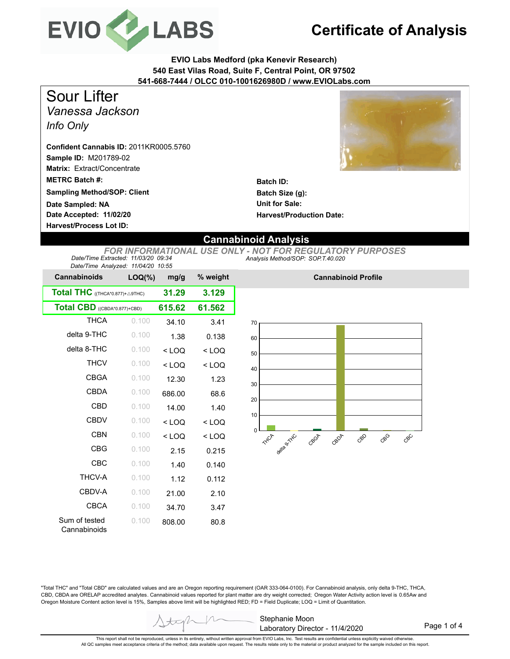

## **Certificate of Analysis**

**EVIO Labs Medford (pka Kenevir Research) 540 East Vilas Road, Suite F, Central Point, OR 97502 541-668-7444 / OLCC 010-1001626980D / www.EVIOLabs.com**

*Vanessa Jackson Info Only* Sour Lifter

**Sample ID:** M201789-02 **Matrix:** Extract/Concentrate **METRC Batch #: Confident Cannabis ID:** 2011KR0005.5760

**Sampling Method/SOP: Client**

**Date Accepted: 11/02/20 Harvest/Process Lot ID: Date Sampled: NA**



**Batch ID: Batch Size (g): Unit for Sale: Harvest/Production Date:** 

## **Cannabinoid Analysis**

*Analysis Method/SOP: SOP.T.40.020 FOR INFORMATIONAL USE ONLY - NOT FOR REGULATORY PURPOSES Date/Time Extracted: 11/03/20 09:34 Date/Time Analyzed: 11/04/20 10:55*

| Dale/Time Analyzed. Tho4/20 To.55          |           |         |          |
|--------------------------------------------|-----------|---------|----------|
| <b>Cannabinoids</b>                        | $LOQ(\%)$ | mg/g    | % weight |
| Total THC $((THE A*0.877)+\triangle 9THC)$ | 31.29     | 3.129   |          |
| Total CBD ((CBDA*0.877)+CBD)               | 615.62    | 61.562  |          |
| <b>THCA</b>                                | 0.100     | 34.10   | 3.41     |
| delta 9-THC                                | 0.100     | 1.38    | 0.138    |
| delta 8-THC                                | 0.100     | $<$ LOQ | $<$ LOQ  |
| <b>THCV</b>                                | 0.100     | $<$ LOQ | $<$ LOQ  |
| <b>CBGA</b>                                | 0.100     | 12.30   | 1.23     |
| CBDA                                       | 0.100     | 686.00  | 68.6     |
| CBD                                        | 0.100     | 14.00   | 1.40     |
| <b>CBDV</b>                                | 0.100     | $<$ LOQ | $<$ LOQ  |
| <b>CBN</b>                                 | 0.100     | $<$ LOQ | $<$ LOQ  |
| CBG                                        | 0.100     | 2.15    | 0.215    |
| CBC                                        | 0.100     | 1.40    | 0.140    |
| <b>THCV-A</b>                              | 0.100     | 1.12    | 0.112    |
| CBDV-A                                     | 0.100     | 21.00   | 2.10     |
| <b>CBCA</b>                                | 0.100     | 34.70   | 3.47     |
| Sum of tested<br>Cannabinoids              | 0.100     | 808.00  | 80.8     |



**Cannabinoid Profile**

"Total THC" and "Total CBD" are calculated values and are an Oregon reporting requirement (OAR 333-064-0100). For Cannabinoid analysis, only delta 9-THC, THCA, CBD, CBDA are ORELAP accredited analytes. Cannabinoid values reported for plant matter are dry weight corrected; Oregon Water Activity action level is 0.65Aw and Oregon Moisture Content action level is 15%, Samples above limit will be highlighted RED; FD = Field Duplicate; LOQ = Limit of Quantitation.

This report shall not be reproduced, unless in its entirety, without written approval from EVIO Labs, Inc. Test results are confidential unless explicitly waived otherwise. All QC samples meet acceptance criteria of the method; data available upon request. The results relate only to the material or product analyzed for the sample included on this report.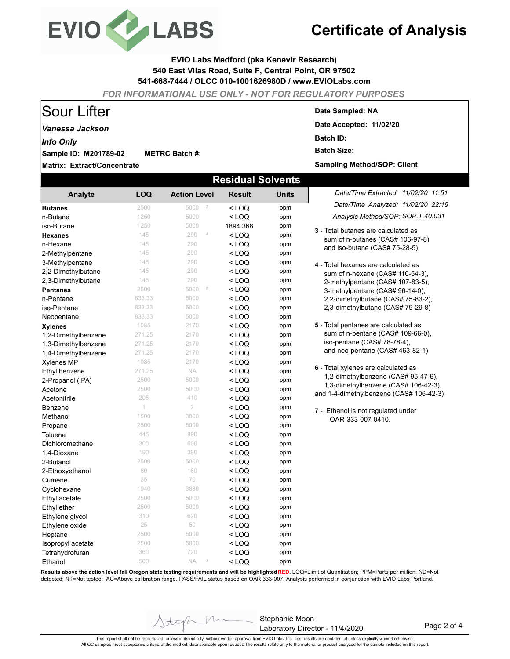

# **Certificate of Analysis**

### **EVIO Labs Medford (pka Kenevir Research) 540 East Vilas Road, Suite F, Central Point, OR 97502 541-668-7444 / OLCC 010-1001626980D / www.EVIOLabs.com**

*FOR INFORMATIONAL USE ONLY - NOT FOR REGULATORY PURPOSES*

## Sour Lifter

### *Vanessa Jackson*

*Info Only*

**Sample ID: M201789-02 METRC Batch #:** 

**Matrix: Extract/Concentrate**

#### **Date Sampled: NA**

**Date Accepted: 11/02/20 Batch ID: Batch Size: Sampling Method/SOP: Client**

| <b>Residual Solvents</b> |            |                             |               |              |                                                                                 |  |  |  |  |
|--------------------------|------------|-----------------------------|---------------|--------------|---------------------------------------------------------------------------------|--|--|--|--|
| Analyte                  | <b>LOQ</b> | <b>Action Level</b>         | <b>Result</b> | <b>Units</b> | Date/Time Extracted: 11/02/20 11:51                                             |  |  |  |  |
| <b>Butanes</b>           | 2500       | $\sqrt{3}$<br>5000          | $<$ LOQ       | ppm          | Date/Time Analyzed: 11/02/20 22:19                                              |  |  |  |  |
| n-Butane                 | 1250       | 5000                        | $<$ LOQ       | ppm          | Analysis Method/SOP: SOP T.40.031                                               |  |  |  |  |
| iso-Butane               | 1250       | 5000                        | 1894.368      | ppm          |                                                                                 |  |  |  |  |
| <b>Hexanes</b>           | 145        | $\sqrt{4}$<br>290           | $<$ LOQ       | ppm          | 3 - Total butanes are calculated as                                             |  |  |  |  |
| n-Hexane                 | 145        | 290                         | $<$ LOQ       | ppm          | sum of n-butanes (CAS# 106-97-8)<br>and iso-butane (CAS# 75-28-5)               |  |  |  |  |
| 2-Methylpentane          | 145        | 290                         | $<$ LOQ       | ppm          |                                                                                 |  |  |  |  |
| 3-Methylpentane          | 145        | 290                         | < LOQ         | ppm          | 4 - Total hexanes are calculated as                                             |  |  |  |  |
| 2,2-Dimethylbutane       | 145        | 290                         | $<$ LOQ       | ppm          | sum of n-hexane (CAS# 110-54-3),                                                |  |  |  |  |
| 2,3-Dimethylbutane       | 145        | 290                         | < LOQ         | ppm          | 2-methylpentane (CAS# 107-83-5),                                                |  |  |  |  |
| <b>Pentanes</b>          | 2500       | 5000<br>5                   | $<$ LOQ       | ppm          | 3-methylpentane (CAS# 96-14-0),                                                 |  |  |  |  |
| n-Pentane                | 833.33     | 5000                        | $<$ LOQ       | ppm          | 2,2-dimethylbutane (CAS# 75-83-2),                                              |  |  |  |  |
| iso-Pentane              | 833.33     | 5000                        | < LOQ         | ppm          | 2,3-dimethylbutane (CAS# 79-29-8)                                               |  |  |  |  |
| Neopentane               | 833.33     | 5000                        | < LOQ         | ppm          |                                                                                 |  |  |  |  |
| <b>Xylenes</b>           | 1085       | 2170                        | $<$ LOQ       | ppm          | 5 - Total pentanes are calculated as                                            |  |  |  |  |
| 1,2-Dimethylbenzene      | 271.25     | 2170                        | < LOQ         | ppm          | sum of n-pentane (CAS# 109-66-0),                                               |  |  |  |  |
| 1,3-Dimethylbenzene      | 271.25     | 2170                        | $<$ LOQ       | ppm          | iso-pentane (CAS# 78-78-4),                                                     |  |  |  |  |
| 1,4-Dimethylbenzene      | 271.25     | 2170                        | $<$ LOQ       | ppm          | and neo-pentane (CAS# 463-82-1)                                                 |  |  |  |  |
| <b>Xylenes MP</b>        | 1085       | 2170                        | < LOQ         | ppm          |                                                                                 |  |  |  |  |
| Ethyl benzene            | 271.25     | <b>NA</b>                   | < LOQ         | ppm          | 6 - Total xylenes are calculated as                                             |  |  |  |  |
| 2-Propanol (IPA)         | 2500       | 5000                        | $<$ LOQ       | ppm          | 1,2-dimethylbenzene (CAS# 95-47-6),                                             |  |  |  |  |
| Acetone                  | 2500       | 5000                        | $<$ LOQ       | ppm          | 1,3-dimethylbenzene (CAS# 106-42-3),<br>and 1-4-dimethylbenzene (CAS# 106-42-3) |  |  |  |  |
| Acetonitrile             | 205        | 410                         | $<$ LOQ       | ppm          |                                                                                 |  |  |  |  |
| Benzene                  | 1          | $\overline{2}$              | < LOQ         | ppm          | 7 - Ethanol is not regulated under                                              |  |  |  |  |
| Methanol                 | 1500       | 3000                        | $<$ LOQ       | ppm          | OAR-333-007-0410.                                                               |  |  |  |  |
| Propane                  | 2500       | 5000                        | < LOQ         | ppm          |                                                                                 |  |  |  |  |
| Toluene                  | 445        | 890                         | < LOQ         | ppm          |                                                                                 |  |  |  |  |
| Dichloromethane          | 300        | 600                         | $<$ LOQ       | ppm          |                                                                                 |  |  |  |  |
| 1,4-Dioxane              | 190        | 380                         | $<$ LOQ       | ppm          |                                                                                 |  |  |  |  |
| 2-Butanol                | 2500       | 5000                        | < LOQ         | ppm          |                                                                                 |  |  |  |  |
| 2-Ethoxyethanol          | 80         | 160                         | < LOQ         | ppm          |                                                                                 |  |  |  |  |
| Cumene                   | 35         | 70                          | < LOQ         | ppm          |                                                                                 |  |  |  |  |
| Cyclohexane              | 1940       | 3880                        | $<$ LOQ       | ppm          |                                                                                 |  |  |  |  |
| Ethyl acetate            | 2500       | 5000                        | $<$ LOQ       | ppm          |                                                                                 |  |  |  |  |
| Ethyl ether              | 2500       | 5000                        | < LOQ         | ppm          |                                                                                 |  |  |  |  |
| Ethylene glycol          | 310        | 620                         | $<$ LOQ       | ppm          |                                                                                 |  |  |  |  |
| Ethylene oxide           | 25         | 50                          | < LOQ         | ppm          |                                                                                 |  |  |  |  |
| Heptane                  | 2500       | 5000                        | $<$ LOQ       | ppm          |                                                                                 |  |  |  |  |
| Isopropyl acetate        | 2500       | 5000                        | < LOQ         | ppm          |                                                                                 |  |  |  |  |
| Tetrahydrofuran          | 360        | 720                         | < LOQ         | ppm          |                                                                                 |  |  |  |  |
| Ethanol                  | 500        | <b>NA</b><br>$\overline{7}$ | < LOQ         | ppm          |                                                                                 |  |  |  |  |

**Results above the action level fail Oregon state testing requirements and will be highlighted RED.** LOQ=Limit of Quantitation; PPM=Parts per million; ND=Not detected; NT=Not tested; AC=Above calibration range. PASS/FAIL status based on OAR 333-007. Analysis performed in conjunction with EVIO Labs Portland.

> Stephanie Moon Laboratory Director - 11/4/2020

Page 2 of 4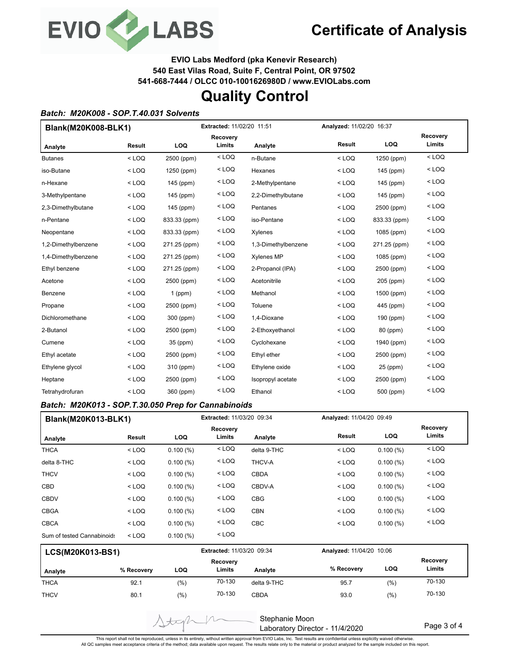

**EVIO Labs Medford (pka Kenevir Research)**

**540 East Vilas Road, Suite F, Central Point, OR 97502**

**541-668-7444 / OLCC 010-1001626980D / www.EVIOLabs.com**

## **Quality Control**

### *Batch: M20K008 - SOP.T.40.031 Solvents*

| Blank(M20K008-BLK1) |         | Extracted: 11/02/20 11:51 |                           |                     | Analyzed: 11/02/20 16:37 |              |                    |
|---------------------|---------|---------------------------|---------------------------|---------------------|--------------------------|--------------|--------------------|
| Analyte             | Result  | LOQ                       | <b>Recovery</b><br>Limits | Analyte             | Result                   | LOQ          | Recovery<br>Limits |
| <b>Butanes</b>      | $<$ LOQ | 2500 (ppm)                | $<$ LOQ                   | n-Butane            | $<$ LOQ                  | 1250 (ppm)   | $<$ LOQ            |
| iso-Butane          | $<$ LOQ | 1250 (ppm)                | $<$ LOQ                   | Hexanes             | $<$ LOQ                  | 145 (ppm)    | $<$ LOQ            |
| n-Hexane            | $<$ LOQ | 145 (ppm)                 | $<$ LOQ                   | 2-Methylpentane     | $<$ LOQ                  | 145 (ppm)    | $<$ LOQ            |
| 3-Methylpentane     | $<$ LOQ | 145 (ppm)                 | $<$ LOQ                   | 2,2-Dimethylbutane  | $<$ LOQ                  | 145 (ppm)    | $<$ LOQ            |
| 2,3-Dimethylbutane  | $<$ LOQ | 145 (ppm)                 | $<$ LOQ                   | Pentanes            | $<$ LOQ                  | 2500 (ppm)   | $<$ LOQ            |
| n-Pentane           | $<$ LOQ | 833.33 (ppm)              | $<$ LOQ                   | iso-Pentane         | $<$ LOQ                  | 833.33 (ppm) | $<$ LOQ            |
| Neopentane          | $<$ LOQ | 833.33 (ppm)              | $<$ LOQ                   | Xylenes             | $<$ LOQ                  | 1085 (ppm)   | $<$ LOQ            |
| 1,2-Dimethylbenzene | $<$ LOQ | 271.25 (ppm)              | < LOQ                     | 1,3-Dimethylbenzene | $<$ LOQ                  | 271.25 (ppm) | $<$ LOQ            |
| 1,4-Dimethylbenzene | $<$ LOQ | 271.25 (ppm)              | $<$ LOQ                   | <b>Xylenes MP</b>   | $<$ LOQ                  | 1085 (ppm)   | $<$ LOQ            |
| Ethyl benzene       | $<$ LOQ | 271.25 (ppm)              | $<$ LOQ                   | 2-Propanol (IPA)    | $<$ LOQ                  | 2500 (ppm)   | $<$ LOQ            |
| Acetone             | $<$ LOQ | 2500 (ppm)                | $<$ LOQ                   | Acetonitrile        | $<$ LOQ                  | 205 (ppm)    | $<$ LOQ            |
| Benzene             | $<$ LOQ | $1$ (ppm)                 | < LOQ                     | Methanol            | $<$ LOQ                  | 1500 (ppm)   | $<$ LOQ            |
| Propane             | $<$ LOQ | 2500 (ppm)                | $<$ LOQ                   | Toluene             | $<$ LOQ                  | 445 (ppm)    | $<$ LOQ            |
| Dichloromethane     | $<$ LOQ | 300 (ppm)                 | $<$ LOQ                   | 1,4-Dioxane         | $<$ LOQ                  | 190 (ppm)    | $<$ LOQ            |
| 2-Butanol           | $<$ LOQ | 2500 (ppm)                | $<$ LOQ                   | 2-Ethoxyethanol     | $<$ LOQ                  | 80 (ppm)     | $<$ LOQ            |
| Cumene              | $<$ LOQ | 35 (ppm)                  | $<$ LOQ                   | Cyclohexane         | $<$ LOQ                  | 1940 (ppm)   | $<$ LOQ            |
| Ethyl acetate       | $<$ LOQ | 2500 (ppm)                | $<$ LOQ                   | Ethyl ether         | $<$ LOQ                  | 2500 (ppm)   | $<$ LOQ            |
| Ethylene glycol     | $<$ LOQ | 310 (ppm)                 | $<$ LOQ                   | Ethylene oxide      | $<$ LOQ                  | 25 (ppm)     | $<$ LOQ            |
| Heptane             | $<$ LOQ | 2500 (ppm)                | $<$ LOQ                   | Isopropyl acetate   | $<$ LOQ                  | 2500 (ppm)   | $<$ LOQ            |
| Tetrahydrofuran     | $<$ LOQ | 360 (ppm)                 | $<$ LOQ                   | Ethanol             | $<$ LOQ                  | 500 (ppm)    | $<$ LOQ            |

### *Batch: M20K013 - SOP.T.30.050 Prep for Cannabinoids*

 $\Delta t$ 

| <b>Blank(M20K013-BLK1)</b> |         |            | Extracted: 11/03/20 09:34 |             |         | Analyzed: 11/04/20 09:49 |                    |
|----------------------------|---------|------------|---------------------------|-------------|---------|--------------------------|--------------------|
| Analyte                    | Result  | <b>LOQ</b> | Recovery<br>Limits        | Analyte     | Result  | <b>LOQ</b>               | Recovery<br>Limits |
| <b>THCA</b>                | $<$ LOQ | 0.100(%)   | $<$ LOQ                   | delta 9-THC | $<$ LOQ | 0.100(%)                 | $<$ LOQ            |
| delta 8-THC                | $<$ LOQ | 0.100(%)   | $<$ LOQ                   | THCV-A      | $<$ LOQ | 0.100(%)                 | $<$ LOQ            |
| <b>THCV</b>                | $<$ LOQ | 0.100(%)   | $<$ LOQ                   | <b>CBDA</b> | $<$ LOQ | 0.100(%)                 | $<$ LOQ            |
| <b>CBD</b>                 | $<$ LOQ | 0.100(%)   | $<$ LOQ                   | CBDV-A      | $<$ LOQ | 0.100(%)                 | $<$ LOQ            |
| <b>CBDV</b>                | $<$ LOQ | 0.100(%)   | $<$ LOQ                   | <b>CBG</b>  | $<$ LOQ | 0.100(%)                 | $<$ LOQ            |
| <b>CBGA</b>                | $<$ LOQ | 0.100(%)   | $<$ LOQ                   | <b>CBN</b>  | $<$ LOQ | 0.100(%)                 | $<$ LOQ            |
| <b>CBCA</b>                | $<$ LOQ | 0.100(%)   | $<$ LOQ                   | <b>CBC</b>  | $<$ LOQ | 0.100(%)                 | $<$ LOQ            |
| Sum of tested Cannabinoids | $<$ LOQ | 0.100(%)   | $<$ LOQ                   |             |         |                          |                    |

| <b>LCS(M20K013-BS1)</b> |            |      | <b>Extracted: 11/03/20 09:34</b> |             | Analyzed: 11/04/20 10:06 |       |                    |
|-------------------------|------------|------|----------------------------------|-------------|--------------------------|-------|--------------------|
| Analyte                 | % Recovery | LOQ  | Recovery<br>Limits               | Analyte     | % Recovery               | LOQ   | Recovery<br>Limits |
| <b>THCA</b>             | 92.1       | (%)  | 70-130                           | delta 9-THC | 95.7                     | (%)   | 70-130             |
| <b>THCV</b>             | 80.1       | (% ) | 70-130                           | <b>CBDA</b> | 93.0                     | (9/6) | 70-130             |

Stephanie Moon Laboratory Director - 11/4/2020

Page 3 of 4

This report shall not be reproduced, unless in its entirety, without written approval from EVIO Labs, Inc. Test results are confidential unless explicitly waived otherwise.<br>All QC samples meet acceptance criteria of the me